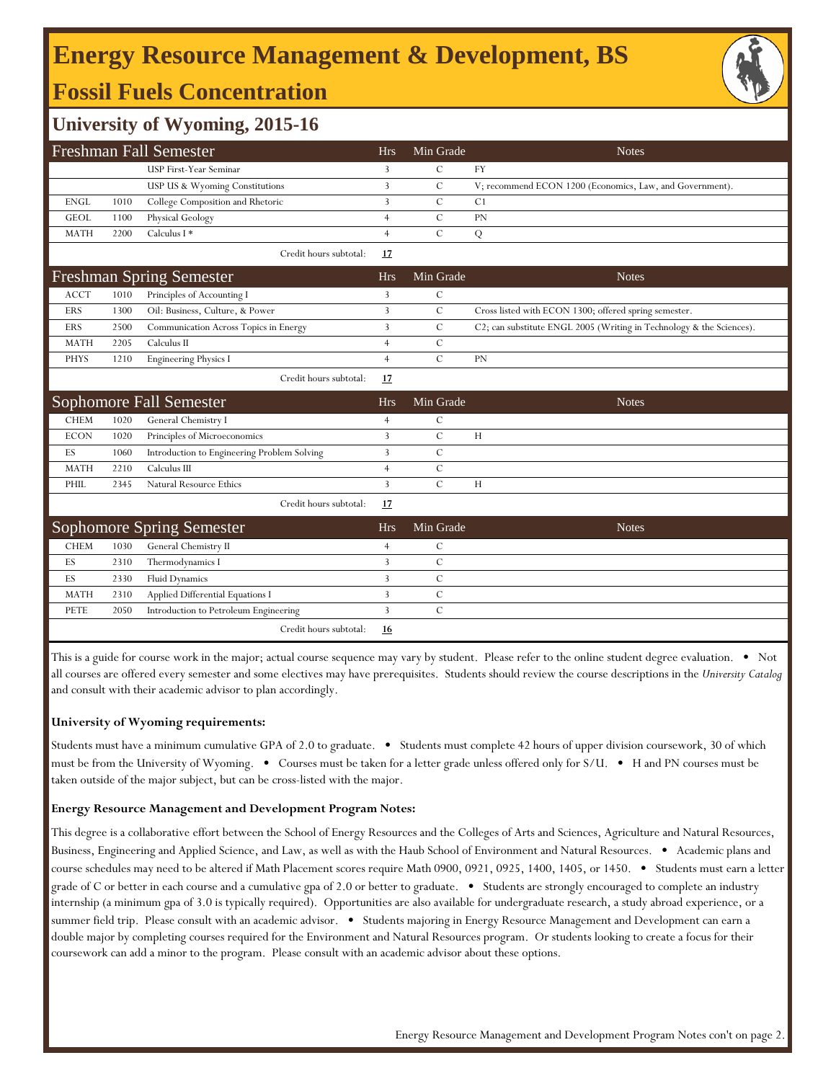# **Energy Resource Management & Development, BS Fossil Fuels Concentration**



### **University of Wyoming, 2015-16**

| Freshman Fall Semester |      |                                             |                | Min Grade      | <b>Notes</b>                                                         |
|------------------------|------|---------------------------------------------|----------------|----------------|----------------------------------------------------------------------|
|                        |      | USP First-Year Seminar                      | 3              | $\mathcal{C}$  | <b>FY</b>                                                            |
|                        |      | USP US & Wyoming Constitutions              | 3              | $\mathcal{C}$  | V; recommend ECON 1200 (Economics, Law, and Government).             |
| <b>ENGL</b>            | 1010 | College Composition and Rhetoric            | 3              | $\mathsf{C}$   | C <sub>1</sub>                                                       |
| <b>GEOL</b>            | 1100 | Physical Geology                            | $\overline{4}$ | $\overline{C}$ | PN                                                                   |
| <b>MATH</b>            | 2200 | Calculus I *                                | $\overline{4}$ | $\mathcal{C}$  | Q                                                                    |
|                        |      | Credit hours subtotal:                      | 17             |                |                                                                      |
|                        |      | <b>Freshman Spring Semester</b>             | <b>Hrs</b>     | Min Grade      | <b>Notes</b>                                                         |
| <b>ACCT</b>            | 1010 | Principles of Accounting I                  | 3              | $\mathcal{C}$  |                                                                      |
| <b>ERS</b>             | 1300 | Oil: Business, Culture, & Power             | 3              | $\mathbf C$    | Cross listed with ECON 1300; offered spring semester.                |
| <b>ERS</b>             | 2500 | Communication Across Topics in Energy       | 3              | $\mathcal{C}$  | C2; can substitute ENGL 2005 (Writing in Technology & the Sciences). |
| <b>MATH</b>            | 2205 | Calculus II                                 | $\overline{4}$ | $\mathsf{C}$   |                                                                      |
| <b>PHYS</b>            | 1210 | <b>Engineering Physics I</b>                | $\overline{4}$ | $\mathcal{C}$  | PN                                                                   |
|                        |      | Credit hours subtotal:                      | 17             |                |                                                                      |
|                        |      | Sophomore Fall Semester                     | <b>Hrs</b>     | Min Grade      | <b>Notes</b>                                                         |
| <b>CHEM</b>            | 1020 | General Chemistry I                         | $\overline{4}$ | $\mathbf C$    |                                                                      |
| <b>ECON</b>            | 1020 | Principles of Microeconomics                | 3              | $\mathbf C$    | H                                                                    |
| ES                     | 1060 | Introduction to Engineering Problem Solving | 3              | $\mathbf C$    |                                                                      |
| <b>MATH</b>            | 2210 | Calculus III                                | $\overline{4}$ | $\mathbf C$    |                                                                      |
| PHIL                   | 2345 | Natural Resource Ethics                     | $\overline{3}$ | $\mathcal{C}$  | H                                                                    |
|                        |      | Credit hours subtotal:                      | 17             |                |                                                                      |
|                        |      | <b>Sophomore Spring Semester</b>            | <b>Hrs</b>     | Min Grade      | <b>Notes</b>                                                         |
| <b>CHEM</b>            | 1030 | General Chemistry II                        | $\overline{4}$ | $\mathcal{C}$  |                                                                      |
| ES                     | 2310 | Thermodynamics I                            | 3              | $\mathbf C$    |                                                                      |
| ES                     | 2330 | <b>Fluid Dynamics</b>                       | 3              | $\mathcal{C}$  |                                                                      |
| <b>MATH</b>            | 2310 | Applied Differential Equations I            | 3              | $\mathcal{C}$  |                                                                      |
| PETE                   | 2050 | Introduction to Petroleum Engineering       | 3              | $\mathcal{C}$  |                                                                      |
|                        |      | Credit hours subtotal:                      | 16             |                |                                                                      |

This is a guide for course work in the major; actual course sequence may vary by student. Please refer to the online student degree evaluation. • Not all courses are offered every semester and some electives may have prerequisites. Students should review the course descriptions in the *University Catalog*  and consult with their academic advisor to plan accordingly.

#### **University of Wyoming requirements:**

Students must have a minimum cumulative GPA of 2.0 to graduate. • Students must complete 42 hours of upper division coursework, 30 of which must be from the University of Wyoming. • Courses must be taken for a letter grade unless offered only for S/U. • H and PN courses must be taken outside of the major subject, but can be cross-listed with the major.

#### **Energy Resource Management and Development Program Notes:**

This degree is a collaborative effort between the School of Energy Resources and the Colleges of Arts and Sciences, Agriculture and Natural Resources, Business, Engineering and Applied Science, and Law, as well as with the Haub School of Environment and Natural Resources. • Academic plans and course schedules may need to be altered if Math Placement scores require Math 0900, 0921, 0925, 1400, 1405, or 1450. • Students must earn a letter grade of C or better in each course and a cumulative gpa of 2.0 or better to graduate. • Students are strongly encouraged to complete an industry internship (a minimum gpa of 3.0 is typically required). Opportunities are also available for undergraduate research, a study abroad experience, or a summer field trip. Please consult with an academic advisor. • Students majoring in Energy Resource Management and Development can earn a double major by completing courses required for the Environment and Natural Resources program. Or students looking to create a focus for their coursework can add a minor to the program. Please consult with an academic advisor about these options.